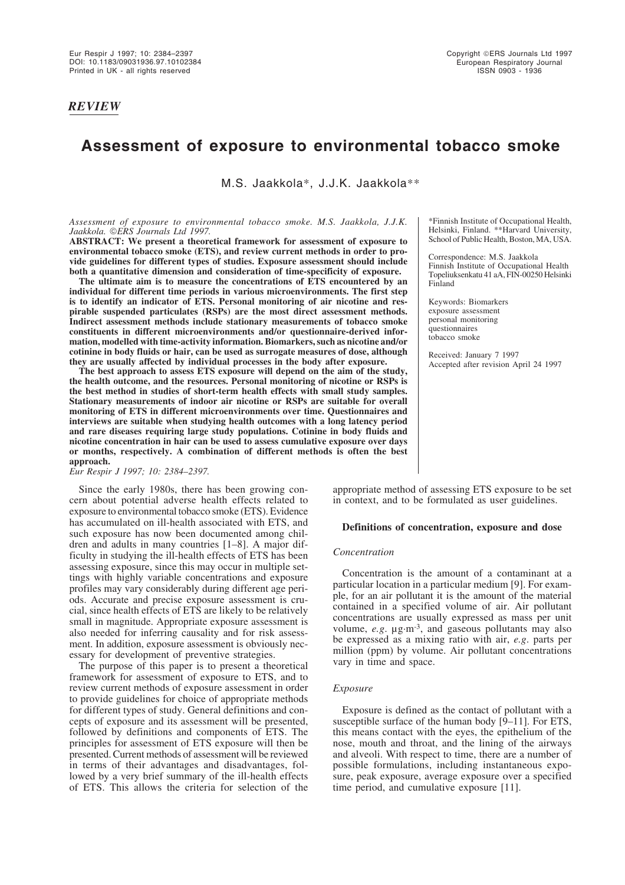# *REVIEW*

# **Assessment of exposure to environmental tobacco smoke**

M.S. Jaakkola\*, J.J.K. Jaakkola\*\*

# *Assessment of exposure to environmental tobacco smoke. M.S. Jaakkola, J.J.K. Jaakkola. ERS Journals Ltd 1997.*

**ABSTRACT: We present a theoretical framework for assessment of exposure to environmental tobacco smoke (ETS), and review current methods in order to provide guidelines for different types of studies. Exposure assessment should include both a quantitative dimension and consideration of time-specificity of exposure.**

**The ultimate aim is to measure the concentrations of ETS encountered by an individual for different time periods in various microenvironments. The first step is to identify an indicator of ETS. Personal monitoring of air nicotine and respirable suspended particulates (RSPs) are the most direct assessment methods. Indirect assessment methods include stationary measurements of tobacco smoke constituents in different microenvironments and/or questionnaire-derived information, modelled with time-activity information. Biomarkers, such as nicotine and/or cotinine in body fluids or hair, can be used as surrogate measures of dose, although they are usually affected by individual processes in the body after exposure.**

**The best approach to assess ETS exposure will depend on the aim of the study, the health outcome, and the resources. Personal monitoring of nicotine or RSPs is the best method in studies of short-term health effects with small study samples. Stationary measurements of indoor air nicotine or RSPs are suitable for overall monitoring of ETS in different microenvironments over time. Questionnaires and interviews are suitable when studying health outcomes with a long latency period and rare diseases requiring large study populations. Cotinine in body fluids and nicotine concentration in hair can be used to assess cumulative exposure over days or months, respectively. A combination of different methods is often the best approach.**

*Eur Respir J 1997; 10: 2384–2397.*

Since the early 1980s, there has been growing concern about potential adverse health effects related to exposure to environmental tobacco smoke (ETS). Evidence has accumulated on ill-health associated with ETS, and such exposure has now been documented among children and adults in many countries [1–8]. A major difficulty in studying the ill-health effects of ETS has been assessing exposure, since this may occur in multiple settings with highly variable concentrations and exposure profiles may vary considerably during different age periods. Accurate and precise exposure assessment is crucial, since health effects of ETS are likely to be relatively small in magnitude. Appropriate exposure assessment is also needed for inferring causality and for risk assessment. In addition, exposure assessment is obviously necessary for development of preventive strategies.

The purpose of this paper is to present a theoretical framework for assessment of exposure to ETS, and to review current methods of exposure assessment in order to provide guidelines for choice of appropriate methods for different types of study. General definitions and concepts of exposure and its assessment will be presented, followed by definitions and components of ETS. The principles for assessment of ETS exposure will then be presented. Current methods of assessment will be reviewed in terms of their advantages and disadvantages, followed by a very brief summary of the ill-health effects of ETS. This allows the criteria for selection of the

\*Finnish Institute of Occupational Health, Helsinki, Finland. \*\*Harvard University, School of Public Health, Boston, MA, USA.

Correspondence: M.S. Jaakkola Finnish Institute of Occupational Health Topeliuksenkatu 41 aA, FIN-00250 Helsinki Finland

Keywords: Biomarkers exposure assessment personal monitoring questionnaires tobacco smoke

Received: January 7 1997 Accepted after revision April 24 1997

appropriate method of assessing ETS exposure to be set in context, and to be formulated as user guidelines.

#### **Definitions of concentration, exposure and dose**

## *Concentration*

Concentration is the amount of a contaminant at a particular location in a particular medium [9]. For example, for an air pollutant it is the amount of the material contained in a specified volume of air. Air pollutant concentrations are usually expressed as mass per unit volume, *e.g*. µg·m-3, and gaseous pollutants may also be expressed as a mixing ratio with air, *e.g*. parts per million (ppm) by volume. Air pollutant concentrations vary in time and space.

#### *Exposure*

Exposure is defined as the contact of pollutant with a susceptible surface of the human body [9–11]. For ETS, this means contact with the eyes, the epithelium of the nose, mouth and throat, and the lining of the airways and alveoli. With respect to time, there are a number of possible formulations, including instantaneous exposure, peak exposure, average exposure over a specified time period, and cumulative exposure [11].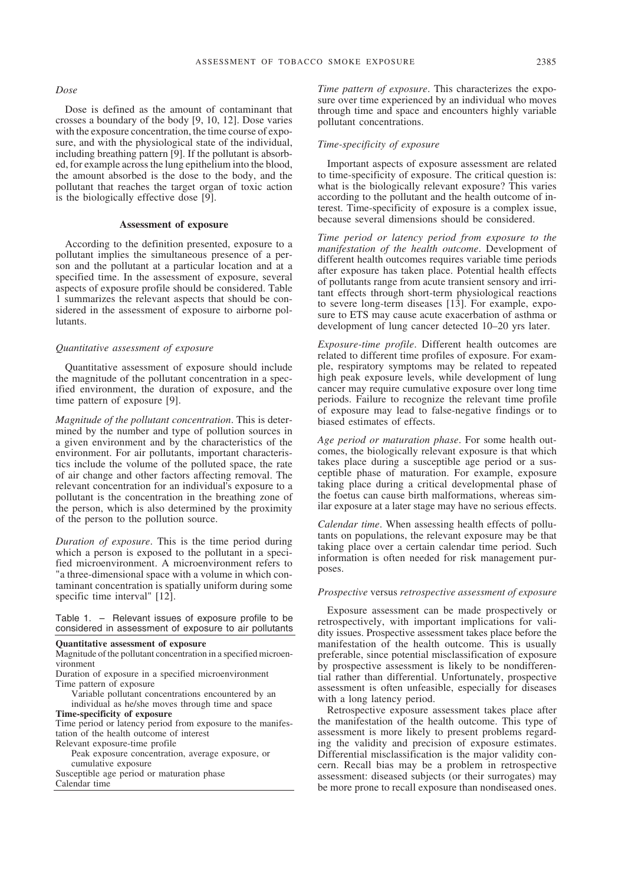# *Dose*

Dose is defined as the amount of contaminant that crosses a boundary of the body [9, 10, 12]. Dose varies with the exposure concentration, the time course of exposure, and with the physiological state of the individual, including breathing pattern [9]. If the pollutant is absorbed, for example across the lung epithelium into the blood, the amount absorbed is the dose to the body, and the pollutant that reaches the target organ of toxic action is the biologically effective dose [9].

# **Assessment of exposure**

According to the definition presented, exposure to a pollutant implies the simultaneous presence of a person and the pollutant at a particular location and at a specified time. In the assessment of exposure, several aspects of exposure profile should be considered. Table 1 summarizes the relevant aspects that should be considered in the assessment of exposure to airborne pollutants.

#### *Quantitative assessment of exposure*

Quantitative assessment of exposure should include the magnitude of the pollutant concentration in a specified environment, the duration of exposure, and the time pattern of exposure [9].

*Magnitude of the pollutant concentration*. This is determined by the number and type of pollution sources in a given environment and by the characteristics of the environment. For air pollutants, important characteristics include the volume of the polluted space, the rate of air change and other factors affecting removal. The relevant concentration for an individual's exposure to a pollutant is the concentration in the breathing zone of the person, which is also determined by the proximity of the person to the pollution source.

*Duration of exposure*. This is the time period during which a person is exposed to the pollutant in a specified microenvironment. A microenvironment refers to "a three-dimensional space with a volume in which contaminant concentration is spatially uniform during some specific time interval" [12].

Table 1. – Relevant issues of exposure profile to be considered in assessment of exposure to air pollutants

#### **Quantitative assessment of exposure**

Magnitude of the pollutant concentration in a specified microenvironment

Duration of exposure in a specified microenvironment Time pattern of exposure

Variable pollutant concentrations encountered by an individual as he/she moves through time and space

#### **Time-specificity of exposure**

Time period or latency period from exposure to the manifestation of the health outcome of interest

Relevant exposure-time profile

Peak exposure concentration, average exposure, or cumulative exposure

Susceptible age period or maturation phase Calendar time

*Time pattern of exposure*. This characterizes the exposure over time experienced by an individual who moves through time and space and encounters highly variable pollutant concentrations.

# *Time-specificity of exposure*

Important aspects of exposure assessment are related to time-specificity of exposure. The critical question is: what is the biologically relevant exposure? This varies according to the pollutant and the health outcome of interest. Time-specificity of exposure is a complex issue, because several dimensions should be considered.

*Time period or latency period from exposure to the manifestation of the health outcome*. Development of different health outcomes requires variable time periods after exposure has taken place. Potential health effects of pollutants range from acute transient sensory and irritant effects through short-term physiological reactions to severe long-term diseases [13]. For example, exposure to ETS may cause acute exacerbation of asthma or development of lung cancer detected 10–20 yrs later.

*Exposure-time profile*. Different health outcomes are related to different time profiles of exposure. For example, respiratory symptoms may be related to repeated high peak exposure levels, while development of lung cancer may require cumulative exposure over long time periods. Failure to recognize the relevant time profile of exposure may lead to false-negative findings or to biased estimates of effects.

*Age period or maturation phase*. For some health outcomes, the biologically relevant exposure is that which takes place during a susceptible age period or a susceptible phase of maturation. For example, exposure taking place during a critical developmental phase of the foetus can cause birth malformations, whereas similar exposure at a later stage may have no serious effects.

*Calendar time*. When assessing health effects of pollutants on populations, the relevant exposure may be that taking place over a certain calendar time period. Such information is often needed for risk management purposes.

#### *Prospective* versus *retrospective assessment of exposure*

Exposure assessment can be made prospectively or retrospectively, with important implications for validity issues. Prospective assessment takes place before the manifestation of the health outcome. This is usually preferable, since potential misclassification of exposure by prospective assessment is likely to be nondifferential rather than differential. Unfortunately, prospective assessment is often unfeasible, especially for diseases with a long latency period.

Retrospective exposure assessment takes place after the manifestation of the health outcome. This type of assessment is more likely to present problems regarding the validity and precision of exposure estimates. Differential misclassification is the major validity concern. Recall bias may be a problem in retrospective assessment: diseased subjects (or their surrogates) may be more prone to recall exposure than nondiseased ones.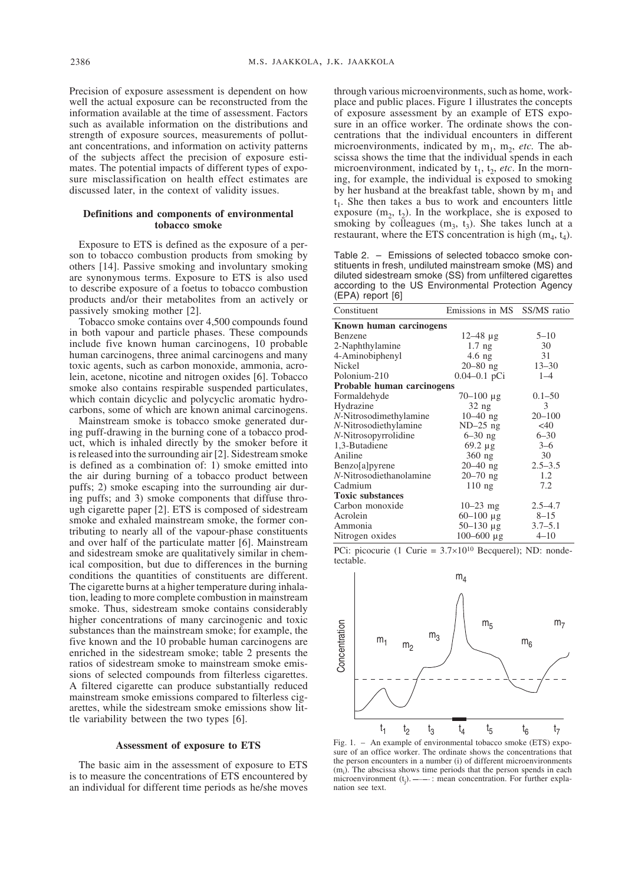Precision of exposure assessment is dependent on how well the actual exposure can be reconstructed from the information available at the time of assessment. Factors such as available information on the distributions and strength of exposure sources, measurements of pollutant concentrations, and information on activity patterns of the subjects affect the precision of exposure estimates. The potential impacts of different types of exposure misclassification on health effect estimates are discussed later, in the context of validity issues.

# **Definitions and components of environmental tobacco smoke**

Exposure to ETS is defined as the exposure of a person to tobacco combustion products from smoking by others [14]. Passive smoking and involuntary smoking are synonymous terms. Exposure to ETS is also used to describe exposure of a foetus to tobacco combustion products and/or their metabolites from an actively or passively smoking mother [2].

Tobacco smoke contains over 4,500 compounds found in both vapour and particle phases. These compounds include five known human carcinogens, 10 probable human carcinogens, three animal carcinogens and many toxic agents, such as carbon monoxide, ammonia, acrolein, acetone, nicotine and nitrogen oxides [6]. Tobacco smoke also contains respirable suspended particulates, which contain dicyclic and polycyclic aromatic hydrocarbons, some of which are known animal carcinogens.

Mainstream smoke is tobacco smoke generated during puff-drawing in the burning cone of a tobacco product, which is inhaled directly by the smoker before it is released into the surrounding air [2]. Sidestream smoke is defined as a combination of: 1) smoke emitted into the air during burning of a tobacco product between puffs; 2) smoke escaping into the surrounding air during puffs; and 3) smoke components that diffuse through cigarette paper [2]. ETS is composed of sidestream smoke and exhaled mainstream smoke, the former contributing to nearly all of the vapour-phase constituents and over half of the particulate matter [6]. Mainstream and sidestream smoke are qualitatively similar in chemical composition, but due to differences in the burning conditions the quantities of constituents are different. The cigarette burns at a higher temperature during inhalation, leading to more complete combustion in mainstream smoke. Thus, sidestream smoke contains considerably higher concentrations of many carcinogenic and toxic substances than the mainstream smoke; for example, the five known and the 10 probable human carcinogens are enriched in the sidestream smoke; table 2 presents the ratios of sidestream smoke to mainstream smoke emissions of selected compounds from filterless cigarettes. A filtered cigarette can produce substantially reduced mainstream smoke emissions compared to filterless cigarettes, while the sidestream smoke emissions show little variability between the two types [6].

# **Assessment of exposure to ETS**

The basic aim in the assessment of exposure to ETS is to measure the concentrations of ETS encountered by an individual for different time periods as he/she moves through various microenvironments, such as home, workplace and public places. Figure 1 illustrates the concepts of exposure assessment by an example of ETS exposure in an office worker. The ordinate shows the concentrations that the individual encounters in different microenvironments, indicated by  $m_1$ ,  $m_2$ , *etc.* The abscissa shows the time that the individual spends in each microenvironment, indicated by  $t_1$ ,  $t_2$ , *etc*. In the morning, for example, the individual is exposed to smoking by her husband at the breakfast table, shown by  $m_1$  and  $t<sub>1</sub>$ . She then takes a bus to work and encounters little exposure  $(m_2, t_2)$ . In the workplace, she is exposed to smoking by colleagues  $(m_3, t_3)$ . She takes lunch at a restaurant, where the ETS concentration is high  $(m_4, t_4)$ .

Table 2. – Emissions of selected tobacco smoke constituents in fresh, undiluted mainstream smoke (MS) and diluted sidestream smoke (SS) from unfiltered cigarettes according to the US Environmental Protection Agency (EPA) report [6]

| Constituent                | Emissions in MS SS/MS ratio |             |  |  |  |
|----------------------------|-----------------------------|-------------|--|--|--|
| Known human carcinogens    |                             |             |  |  |  |
| Benzene                    | $12 - 48 \mu g$             | $5 - 10$    |  |  |  |
| 2-Naphthylamine            | 1.7 <sub>ng</sub>           | 30          |  |  |  |
| 4-Aminobiphenyl            | $4.6$ ng                    | 31          |  |  |  |
| Nickel                     | $20 - 80$ ng                | $13 - 30$   |  |  |  |
| Polonium-210               | $0.04 - 0.1$ pCi            | $1 - 4$     |  |  |  |
| Probable human carcinogens |                             |             |  |  |  |
| Formaldehyde               | $70 - 100 \mu g$            | $0.1 - 50$  |  |  |  |
| Hydrazine                  | $32$ ng                     | 3           |  |  |  |
| N-Nitrosodimethylamine     | $10 - 40$ ng                | $20 - 100$  |  |  |  |
| N-Nitrosodiethylamine      | $ND-25$ ng                  | $<$ 40      |  |  |  |
| N-Nitrosopyrrolidine       | $6 - 30$ ng                 | $6 - 30$    |  |  |  |
| 1,3-Butadiene              | $69.2 \mu g$                | $3 - 6$     |  |  |  |
| Aniline                    | 360 ng                      | 30          |  |  |  |
| Benzo[a]pyrene             | $20 - 40$ ng                | $2.5 - 3.5$ |  |  |  |
| N-Nitrosodiethanolamine    | $20 - 70$ ng                | 1.2         |  |  |  |
| Cadmium                    | $110$ ng                    | 7.2         |  |  |  |
| <b>Toxic substances</b>    |                             |             |  |  |  |
| Carbon monoxide            | $10 - 23$ mg                | $2.5 - 4.7$ |  |  |  |
| Acrolein                   | $60 - 100 \mu$ g            | $8 - 15$    |  |  |  |
| Ammonia                    | $50 - 130 \mu g$            | $3.7 - 5.1$ |  |  |  |
| Nitrogen oxides            | $100 - 600 \text{ µg}$      | $4 - 10$    |  |  |  |

PCi: picocurie (1 Curie =  $3.7 \times 10^{10}$  Becquerel); ND: nondetectable.



Fig. 1. – An example of environmental tobacco smoke (ETS) exposure of an office worker. The ordinate shows the concentrations that the person encounters in a number (i) of different microenvironments (m<sub>i</sub>). The abscissa shows time periods that the person spends in each microenvironment  $(t_j)$ .  $-\cdots$ : mean concentration. For further explanation see text.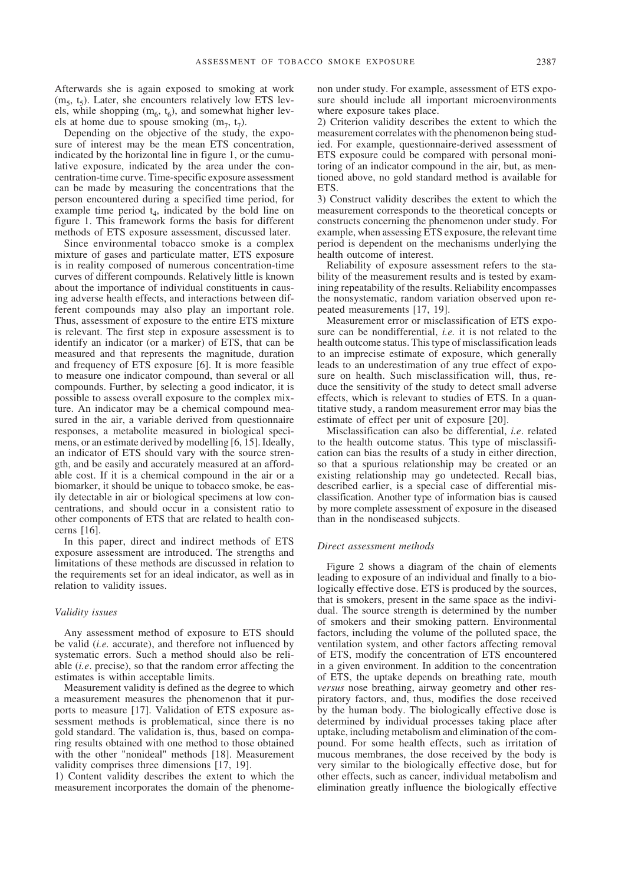Afterwards she is again exposed to smoking at work  $(m<sub>5</sub>, t<sub>5</sub>)$ . Later, she encounters relatively low ETS levels, while shopping  $(m_6, t_6)$ , and somewhat higher levels at home due to spouse smoking  $(m_7, t_7)$ .

Depending on the objective of the study, the exposure of interest may be the mean ETS concentration, indicated by the horizontal line in figure 1, or the cumulative exposure, indicated by the area under the concentration-time curve. Time-specific exposure assessment can be made by measuring the concentrations that the person encountered during a specified time period, for example time period  $t_4$ , indicated by the bold line on figure 1. This framework forms the basis for different methods of ETS exposure assessment, discussed later.

Since environmental tobacco smoke is a complex mixture of gases and particulate matter, ETS exposure is in reality composed of numerous concentration-time curves of different compounds. Relatively little is known about the importance of individual constituents in causing adverse health effects, and interactions between different compounds may also play an important role. Thus, assessment of exposure to the entire ETS mixture is relevant. The first step in exposure assessment is to identify an indicator (or a marker) of ETS, that can be measured and that represents the magnitude, duration and frequency of ETS exposure [6]. It is more feasible to measure one indicator compound, than several or all compounds. Further, by selecting a good indicator, it is possible to assess overall exposure to the complex mixture. An indicator may be a chemical compound measured in the air, a variable derived from questionnaire responses, a metabolite measured in biological specimens, or an estimate derived by modelling [6, 15]. Ideally, an indicator of ETS should vary with the source strength, and be easily and accurately measured at an affordable cost. If it is a chemical compound in the air or a biomarker, it should be unique to tobacco smoke, be easily detectable in air or biological specimens at low concentrations, and should occur in a consistent ratio to other components of ETS that are related to health concerns [16].

In this paper, direct and indirect methods of ETS exposure assessment are introduced. The strengths and limitations of these methods are discussed in relation to the requirements set for an ideal indicator, as well as in relation to validity issues.

#### *Validity issues*

Any assessment method of exposure to ETS should be valid (*i.e.* accurate), and therefore not influenced by systematic errors. Such a method should also be reliable (*i.e*. precise), so that the random error affecting the estimates is within acceptable limits.

Measurement validity is defined as the degree to which a measurement measures the phenomenon that it purports to measure [17]. Validation of ETS exposure assessment methods is problematical, since there is no gold standard. The validation is, thus, based on comparing results obtained with one method to those obtained with the other "nonideal" methods [18]. Measurement validity comprises three dimensions [17, 19].

1) Content validity describes the extent to which the measurement incorporates the domain of the phenomenon under study. For example, assessment of ETS exposure should include all important microenvironments where exposure takes place.

2) Criterion validity describes the extent to which the measurement correlates with the phenomenon being studied. For example, questionnaire-derived assessment of ETS exposure could be compared with personal monitoring of an indicator compound in the air, but, as mentioned above, no gold standard method is available for ETS.

3) Construct validity describes the extent to which the measurement corresponds to the theoretical concepts or constructs concerning the phenomenon under study. For example, when assessing ETS exposure, the relevant time period is dependent on the mechanisms underlying the health outcome of interest.

Reliability of exposure assessment refers to the stability of the measurement results and is tested by examining repeatability of the results. Reliability encompasses the nonsystematic, random variation observed upon repeated measurements [17, 19].

Measurement error or misclassification of ETS exposure can be nondifferential, *i.e.* it is not related to the health outcome status. This type of misclassification leads to an imprecise estimate of exposure, which generally leads to an underestimation of any true effect of exposure on health. Such misclassification will, thus, reduce the sensitivity of the study to detect small adverse effects, which is relevant to studies of ETS. In a quantitative study, a random measurement error may bias the estimate of effect per unit of exposure [20].

Misclassification can also be differential, *i.e*. related to the health outcome status. This type of misclassification can bias the results of a study in either direction, so that a spurious relationship may be created or an existing relationship may go undetected. Recall bias, described earlier, is a special case of differential misclassification. Another type of information bias is caused by more complete assessment of exposure in the diseased than in the nondiseased subjects.

# *Direct assessment methods*

Figure 2 shows a diagram of the chain of elements leading to exposure of an individual and finally to a biologically effective dose. ETS is produced by the sources, that is smokers, present in the same space as the individual. The source strength is determined by the number of smokers and their smoking pattern. Environmental factors, including the volume of the polluted space, the ventilation system, and other factors affecting removal of ETS, modify the concentration of ETS encountered in a given environment. In addition to the concentration of ETS, the uptake depends on breathing rate, mouth *versus* nose breathing, airway geometry and other respiratory factors, and, thus, modifies the dose received by the human body. The biologically effective dose is determined by individual processes taking place after uptake, including metabolism and elimination of the compound. For some health effects, such as irritation of mucous membranes, the dose received by the body is very similar to the biologically effective dose, but for other effects, such as cancer, individual metabolism and elimination greatly influence the biologically effective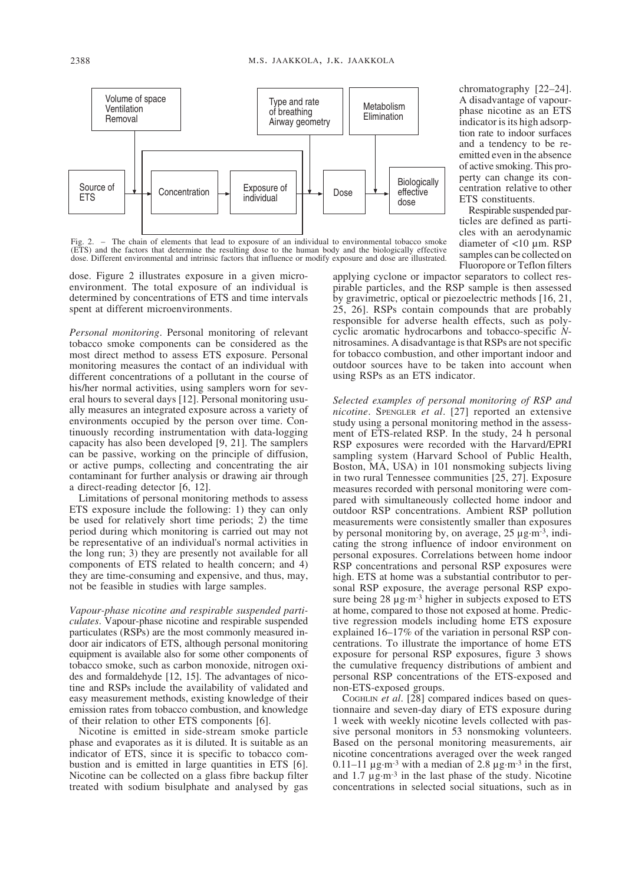

Fig. 2. – The chain of elements that lead to exposure of an individual to environmental tobacco smoke (ETS) and the factors that determine the resulting dose to the human body and the biologically effective dose. Different environmental and intrinsic factors that influence or modify exposure and dose are illustrated.

dose. Figure 2 illustrates exposure in a given microenvironment. The total exposure of an individual is determined by concentrations of ETS and time intervals spent at different microenvironments.

*Personal monitoring*. Personal monitoring of relevant tobacco smoke components can be considered as the most direct method to assess ETS exposure. Personal monitoring measures the contact of an individual with different concentrations of a pollutant in the course of his/her normal activities, using samplers worn for several hours to several days [12]. Personal monitoring usually measures an integrated exposure across a variety of environments occupied by the person over time. Continuously recording instrumentation with data-logging capacity has also been developed [9, 21]. The samplers can be passive, working on the principle of diffusion, or active pumps, collecting and concentrating the air contaminant for further analysis or drawing air through a direct-reading detector [6, 12].

Limitations of personal monitoring methods to assess ETS exposure include the following: 1) they can only be used for relatively short time periods; 2) the time period during which monitoring is carried out may not be representative of an individual's normal activities in the long run; 3) they are presently not available for all components of ETS related to health concern; and 4) they are time-consuming and expensive, and thus, may, not be feasible in studies with large samples.

*Vapour-phase nicotine and respirable suspended particulates*. Vapour-phase nicotine and respirable suspended particulates (RSPs) are the most commonly measured indoor air indicators of ETS, although personal monitoring equipment is available also for some other components of tobacco smoke, such as carbon monoxide, nitrogen oxides and formaldehyde [12, 15]. The advantages of nicotine and RSPs include the availability of validated and easy measurement methods, existing knowledge of their emission rates from tobacco combustion, and knowledge of their relation to other ETS components [6].

Nicotine is emitted in side-stream smoke particle phase and evaporates as it is diluted. It is suitable as an indicator of ETS, since it is specific to tobacco combustion and is emitted in large quantities in ETS [6]. Nicotine can be collected on a glass fibre backup filter treated with sodium bisulphate and analysed by gas

chromatography [22–24]. A disadvantage of vapourphase nicotine as an ETS indicator is its high adsorption rate to indoor surfaces and a tendency to be reemitted even in the absence of active smoking. This property can change its concentration relative to other ETS constituents.

Respirable suspended particles are defined as particles with an aerodynamic diameter of <10 µm. RSP samples can be collected on Fluoropore or Teflon filters

applying cyclone or impactor separators to collect respirable particles, and the RSP sample is then assessed by gravimetric, optical or piezoelectric methods [16, 21, 25, 26]. RSPs contain compounds that are probably responsible for adverse health effects, such as polycyclic aromatic hydrocarbons and tobacco-specific *N*nitrosamines. A disadvantage is that RSPs are not specific for tobacco combustion, and other important indoor and outdoor sources have to be taken into account when using RSPs as an ETS indicator.

*Selected examples of personal monitoring of RSP and nicotine*. SPENGLER *et al*. [27] reported an extensive study using a personal monitoring method in the assessment of ETS-related RSP. In the study, 24 h personal RSP exposures were recorded with the Harvard/EPRI sampling system (Harvard School of Public Health, Boston, MA, USA) in 101 nonsmoking subjects living in two rural Tennessee communities [25, 27]. Exposure measures recorded with personal monitoring were compared with simultaneously collected home indoor and outdoor RSP concentrations. Ambient RSP pollution measurements were consistently smaller than exposures by personal monitoring by, on average, 25 µg·m-3, indicating the strong influence of indoor environment on personal exposures. Correlations between home indoor RSP concentrations and personal RSP exposures were high. ETS at home was a substantial contributor to personal RSP exposure, the average personal RSP exposure being 28 µg·m<sup>-3</sup> higher in subjects exposed to ETS at home, compared to those not exposed at home. Predictive regression models including home ETS exposure explained 16–17% of the variation in personal RSP concentrations. To illustrate the importance of home ETS exposure for personal RSP exposures, figure 3 shows the cumulative frequency distributions of ambient and personal RSP concentrations of the ETS-exposed and non-ETS-exposed groups.

COGHLIN *et al*. [28] compared indices based on questionnaire and seven-day diary of ETS exposure during 1 week with weekly nicotine levels collected with passive personal monitors in 53 nonsmoking volunteers. Based on the personal monitoring measurements, air nicotine concentrations averaged over the week ranged 0.11–11  $\mu$ g·m<sup>-3</sup> with a median of 2.8  $\mu$ g·m<sup>-3</sup> in the first, and  $1.7 \mu$ g·m<sup>-3</sup> in the last phase of the study. Nicotine concentrations in selected social situations, such as in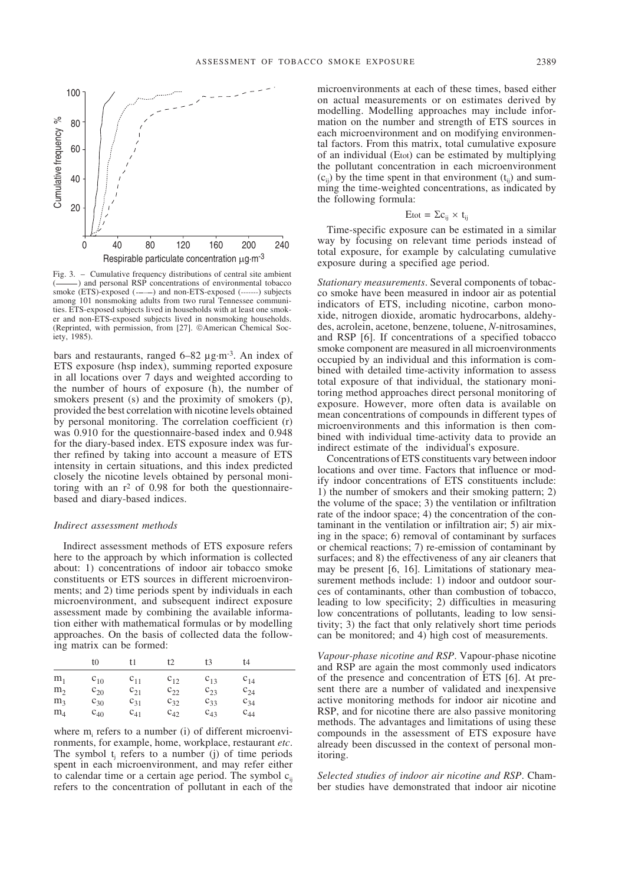

Fig. 3. – Cumulative frequency distributions of central site ambient (a) and personal RSP concentrations of environmental tobacco smoke (ETS)-exposed (---------) and non-ETS-exposed (-------) subjects among 101 nonsmoking adults from two rural Tennessee communities. ETS-exposed subjects lived in households with at least one smoker and non-ETS-exposed subjects lived in nonsmoking households. (Reprinted, with permission, from [27]. ©American Chemical Society, 1985).

bars and restaurants, ranged 6–82 µg·m-3. An index of ETS exposure (hsp index), summing reported exposure in all locations over 7 days and weighted according to the number of hours of exposure (h), the number of smokers present (s) and the proximity of smokers (p), provided the best correlation with nicotine levels obtained by personal monitoring. The correlation coefficient (r) was 0.910 for the questionnaire-based index and 0.948 for the diary-based index. ETS exposure index was further refined by taking into account a measure of ETS intensity in certain situations, and this index predicted closely the nicotine levels obtained by personal monitoring with an  $r^2$  of 0.98 for both the questionnairebased and diary-based indices.

## *Indirect assessment methods*

Indirect assessment methods of ETS exposure refers here to the approach by which information is collected about: 1) concentrations of indoor air tobacco smoke constituents or ETS sources in different microenvironments; and 2) time periods spent by individuals in each microenvironment, and subsequent indirect exposure assessment made by combining the available information either with mathematical formulas or by modelling approaches. On the basis of collected data the following matrix can be formed:

|                | t0       |          | t2       | t٦       | t4       |
|----------------|----------|----------|----------|----------|----------|
| m <sub>1</sub> | $c_{10}$ | $c_{11}$ | $c_{12}$ | $c_{13}$ | $c_{14}$ |
| m <sub>2</sub> | $c_{20}$ | $c_{21}$ | $c_{22}$ | $c_{23}$ | $c_{24}$ |
| m <sub>3</sub> | $c_{30}$ | $C_{31}$ | $c_{32}$ | $C_{33}$ | $c_{34}$ |
| m <sub>4</sub> | $c_{40}$ | $c_{41}$ | $c_{42}$ | $c_{43}$ | $c_{44}$ |

where m<sub>i</sub> refers to a number (i) of different microenvironments, for example, home, workplace, restaurant *etc*. The symbol  $t_i$  refers to a number (j) of time periods spent in each microenvironment, and may refer either to calendar time or a certain age period. The symbol  $c_{ii}$ refers to the concentration of pollutant in each of the microenvironments at each of these times, based either on actual measurements or on estimates derived by modelling. Modelling approaches may include information on the number and strength of ETS sources in each microenvironment and on modifying environmental factors. From this matrix, total cumulative exposure of an individual (Etot) can be estimated by multiplying the pollutant concentration in each microenvironment  $(c_{ii})$  by the time spent in that environment  $(t_{ii})$  and summing the time-weighted concentrations, as indicated by the following formula:

$$
E_{\text{tot}} = \Sigma c_{ij} \times t_{ij}
$$

Time-specific exposure can be estimated in a similar way by focusing on relevant time periods instead of total exposure, for example by calculating cumulative exposure during a specified age period.

*Stationary measurements*. Several components of tobacco smoke have been measured in indoor air as potential indicators of ETS, including nicotine, carbon monoxide, nitrogen dioxide, aromatic hydrocarbons, aldehydes, acrolein, acetone, benzene, toluene, *N*-nitrosamines, and RSP [6]. If concentrations of a specified tobacco smoke component are measured in all microenvironments occupied by an individual and this information is combined with detailed time-activity information to assess total exposure of that individual, the stationary monitoring method approaches direct personal monitoring of exposure. However, more often data is available on mean concentrations of compounds in different types of microenvironments and this information is then combined with individual time-activity data to provide an indirect estimate of the individual's exposure.

Concentrations of ETS constituents vary between indoor locations and over time. Factors that influence or modify indoor concentrations of ETS constituents include: 1) the number of smokers and their smoking pattern; 2) the volume of the space; 3) the ventilation or infiltration rate of the indoor space; 4) the concentration of the contaminant in the ventilation or infiltration air; 5) air mixing in the space; 6) removal of contaminant by surfaces or chemical reactions; 7) re-emission of contaminant by surfaces; and 8) the effectiveness of any air cleaners that may be present [6, 16]. Limitations of stationary measurement methods include: 1) indoor and outdoor sources of contaminants, other than combustion of tobacco, leading to low specificity; 2) difficulties in measuring low concentrations of pollutants, leading to low sensitivity; 3) the fact that only relatively short time periods can be monitored; and 4) high cost of measurements.

*Vapour-phase nicotine and RSP*. Vapour-phase nicotine and RSP are again the most commonly used indicators of the presence and concentration of ETS [6]. At present there are a number of validated and inexpensive active monitoring methods for indoor air nicotine and RSP, and for nicotine there are also passive monitoring methods. The advantages and limitations of using these compounds in the assessment of ETS exposure have already been discussed in the context of personal monitoring.

*Selected studies of indoor air nicotine and RSP*. Chamber studies have demonstrated that indoor air nicotine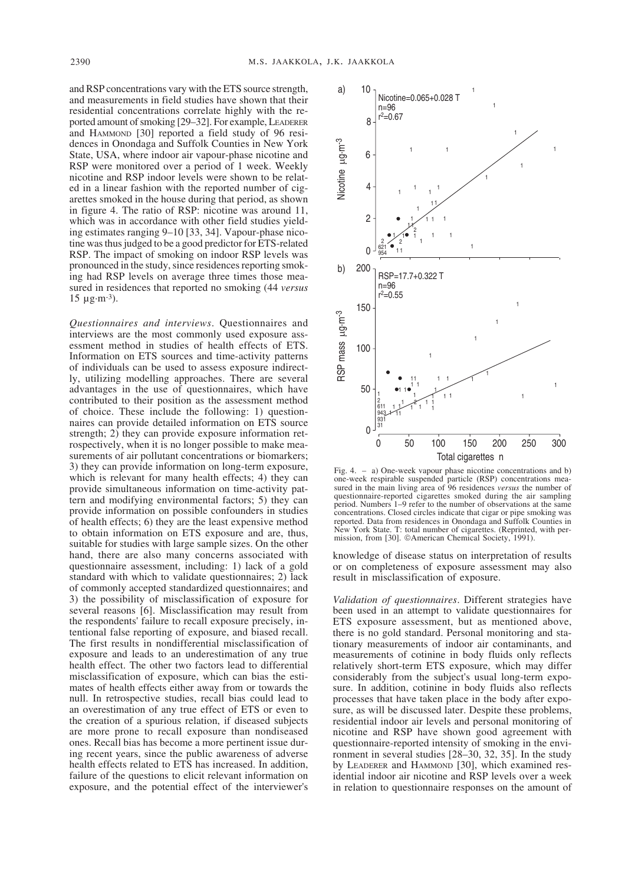and RSP concentrations vary with the ETS source strength, and measurements in field studies have shown that their residential concentrations correlate highly with the reported amount of smoking [29–32]. For example, LEADERER and HAMMOND [30] reported a field study of 96 residences in Onondaga and Suffolk Counties in New York State, USA, where indoor air vapour-phase nicotine and RSP were monitored over a period of 1 week. Weekly nicotine and RSP indoor levels were shown to be related in a linear fashion with the reported number of cigarettes smoked in the house during that period, as shown in figure 4. The ratio of RSP: nicotine was around 11, which was in accordance with other field studies yielding estimates ranging 9–10 [33, 34]. Vapour-phase nicotine was thus judged to be a good predictor for ETS-related RSP. The impact of smoking on indoor RSP levels was pronounced in the study, since residences reporting smoking had RSP levels on average three times those measured in residences that reported no smoking (44 *versus* 15  $μg·m-3$ ).

*Questionnaires and interviews*. Questionnaires and interviews are the most commonly used exposure assessment method in studies of health effects of ETS. Information on ETS sources and time-activity patterns of individuals can be used to assess exposure indirectly, utilizing modelling approaches. There are several advantages in the use of questionnaires, which have contributed to their position as the assessment method of choice. These include the following: 1) questionnaires can provide detailed information on ETS source strength; 2) they can provide exposure information retrospectively, when it is no longer possible to make measurements of air pollutant concentrations or biomarkers; 3) they can provide information on long-term exposure, which is relevant for many health effects; 4) they can provide simultaneous information on time-activity pattern and modifying environmental factors; 5) they can provide information on possible confounders in studies of health effects; 6) they are the least expensive method to obtain information on ETS exposure and are, thus, suitable for studies with large sample sizes. On the other hand, there are also many concerns associated with questionnaire assessment, including: 1) lack of a gold standard with which to validate questionnaires; 2) lack of commonly accepted standardized questionnaires; and 3) the possibility of misclassification of exposure for several reasons [6]. Misclassification may result from the respondents' failure to recall exposure precisely, intentional false reporting of exposure, and biased recall. The first results in nondifferential misclassification of exposure and leads to an underestimation of any true health effect. The other two factors lead to differential misclassification of exposure, which can bias the estimates of health effects either away from or towards the null. In retrospective studies, recall bias could lead to an overestimation of any true effect of ETS or even to the creation of a spurious relation, if diseased subjects are more prone to recall exposure than nondiseased ones. Recall bias has become a more pertinent issue during recent years, since the public awareness of adverse health effects related to ETS has increased. In addition, failure of the questions to elicit relevant information on exposure, and the potential effect of the interviewer's



Fig. 4. – a) One-week vapour phase nicotine concentrations and b) one-week respirable suspended particle (RSP) concentrations mea-sured in the main living area of 96 residences *versus* the number of questionnaire-reported cigarettes smoked during the air sampling period. Numbers 1–9 refer to the number of observations at the same concentrations. Closed circles indicate that cigar or pipe smoking was reported. Data from residences in Onondaga and Suffolk Counties in New York State. T: total number of cigarettes. (Reprinted, with permission, from [30]. ©American Chemical Society, 1991).

knowledge of disease status on interpretation of results or on completeness of exposure assessment may also result in misclassification of exposure.

*Validation of questionnaires*. Different strategies have been used in an attempt to validate questionnaires for ETS exposure assessment, but as mentioned above, there is no gold standard. Personal monitoring and stationary measurements of indoor air contaminants, and measurements of cotinine in body fluids only reflects relatively short-term ETS exposure, which may differ considerably from the subject's usual long-term exposure. In addition, cotinine in body fluids also reflects processes that have taken place in the body after exposure, as will be discussed later. Despite these problems, residential indoor air levels and personal monitoring of nicotine and RSP have shown good agreement with questionnaire-reported intensity of smoking in the environment in several studies [28–30, 32, 35]. In the study by LEADERER and HAMMOND [30], which examined residential indoor air nicotine and RSP levels over a week in relation to questionnaire responses on the amount of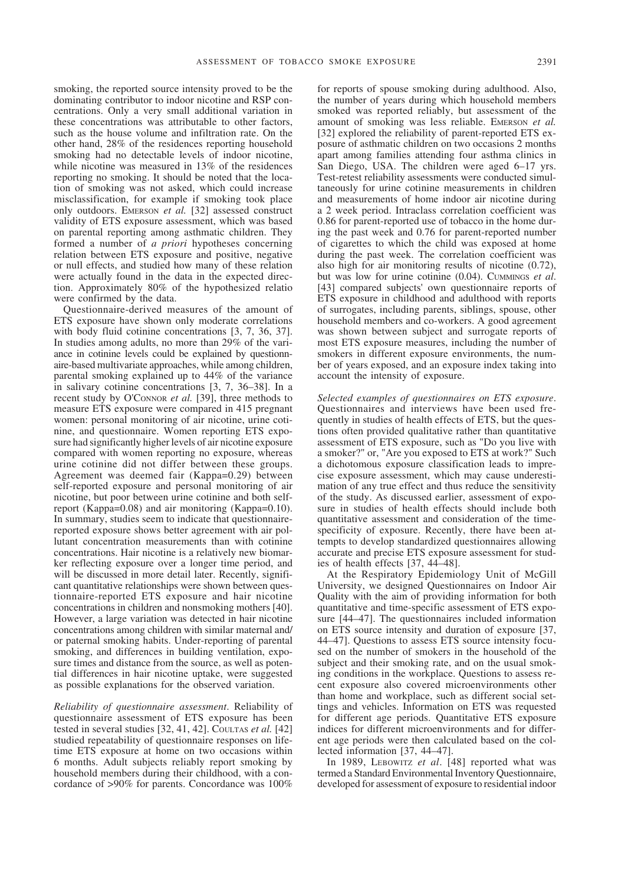smoking, the reported source intensity proved to be the dominating contributor to indoor nicotine and RSP concentrations. Only a very small additional variation in these concentrations was attributable to other factors, such as the house volume and infiltration rate. On the other hand, 28% of the residences reporting household smoking had no detectable levels of indoor nicotine, while nicotine was measured in 13% of the residences reporting no smoking. It should be noted that the location of smoking was not asked, which could increase misclassification, for example if smoking took place only outdoors. EMERSON *et al.* [32] assessed construct validity of ETS exposure assessment, which was based on parental reporting among asthmatic children. They formed a number of *a priori* hypotheses concerning relation between ETS exposure and positive, negative or null effects, and studied how many of these relation were actually found in the data in the expected direction. Approximately 80% of the hypothesized relatio were confirmed by the data.

Questionnaire-derived measures of the amount of ETS exposure have shown only moderate correlations with body fluid cotinine concentrations [3, 7, 36, 37]. In studies among adults, no more than 29% of the variance in cotinine levels could be explained by questionnaire-based multivariate approaches, while among children, parental smoking explained up to 44% of the variance in salivary cotinine concentrations [3, 7, 36–38]. In a recent study by O'CONNOR *et al.* [39], three methods to measure ETS exposure were compared in 415 pregnant women: personal monitoring of air nicotine, urine cotinine, and questionnaire. Women reporting ETS exposure had significantly higher levels of air nicotine exposure compared with women reporting no exposure, whereas urine cotinine did not differ between these groups. Agreement was deemed fair (Kappa=0.29) between self-reported exposure and personal monitoring of air nicotine, but poor between urine cotinine and both selfreport (Kappa=0.08) and air monitoring (Kappa=0.10). In summary, studies seem to indicate that questionnairereported exposure shows better agreement with air pollutant concentration measurements than with cotinine concentrations. Hair nicotine is a relatively new biomarker reflecting exposure over a longer time period, and will be discussed in more detail later. Recently, significant quantitative relationships were shown between questionnaire-reported ETS exposure and hair nicotine concentrations in children and nonsmoking mothers [40]. However, a large variation was detected in hair nicotine concentrations among children with similar maternal and/ or paternal smoking habits. Under-reporting of parental smoking, and differences in building ventilation, exposure times and distance from the source, as well as potential differences in hair nicotine uptake, were suggested as possible explanations for the observed variation.

*Reliability of questionnaire assessment*. Reliability of questionnaire assessment of ETS exposure has been tested in several studies [32, 41, 42]. COULTAS *et al.* [42] studied repeatability of questionnaire responses on lifetime ETS exposure at home on two occasions within 6 months. Adult subjects reliably report smoking by household members during their childhood, with a concordance of >90% for parents. Concordance was 100%

for reports of spouse smoking during adulthood. Also, the number of years during which household members smoked was reported reliably, but assessment of the amount of smoking was less reliable. EMERSON *et al.* [32] explored the reliability of parent-reported ETS exposure of asthmatic children on two occasions 2 months apart among families attending four asthma clinics in San Diego, USA. The children were aged 6–17 yrs. Test-retest reliability assessments were conducted simultaneously for urine cotinine measurements in children and measurements of home indoor air nicotine during a 2 week period. Intraclass correlation coefficient was 0.86 for parent-reported use of tobacco in the home during the past week and 0.76 for parent-reported number of cigarettes to which the child was exposed at home during the past week. The correlation coefficient was also high for air monitoring results of nicotine (0.72), but was low for urine cotinine (0.04). CUMMINGS *et al*. [43] compared subjects' own questionnaire reports of ETS exposure in childhood and adulthood with reports of surrogates, including parents, siblings, spouse, other household members and co-workers. A good agreement was shown between subject and surrogate reports of most ETS exposure measures, including the number of smokers in different exposure environments, the number of years exposed, and an exposure index taking into account the intensity of exposure.

*Selected examples of questionnaires on ETS exposure*. Questionnaires and interviews have been used frequently in studies of health effects of ETS, but the questions often provided qualitative rather than quantitative assessment of ETS exposure, such as "Do you live with a smoker?" or, "Are you exposed to ETS at work?" Such a dichotomous exposure classification leads to imprecise exposure assessment, which may cause underestimation of any true effect and thus reduce the sensitivity of the study. As discussed earlier, assessment of exposure in studies of health effects should include both quantitative assessment and consideration of the timespecificity of exposure. Recently, there have been attempts to develop standardized questionnaires allowing accurate and precise ETS exposure assessment for studies of health effects [37, 44–48].

At the Respiratory Epidemiology Unit of McGill University, we designed Questionnaires on Indoor Air Quality with the aim of providing information for both quantitative and time-specific assessment of ETS exposure [44–47]. The questionnaires included information on ETS source intensity and duration of exposure [37, 44–47]. Questions to assess ETS source intensity focused on the number of smokers in the household of the subject and their smoking rate, and on the usual smoking conditions in the workplace. Questions to assess recent exposure also covered microenvironments other than home and workplace, such as different social settings and vehicles. Information on ETS was requested for different age periods. Quantitative ETS exposure indices for different microenvironments and for different age periods were then calculated based on the collected information [37, 44–47].

In 1989, LEBOWITZ *et al*. [48] reported what was termed a Standard Environmental Inventory Questionnaire, developed for assessment of exposure to residential indoor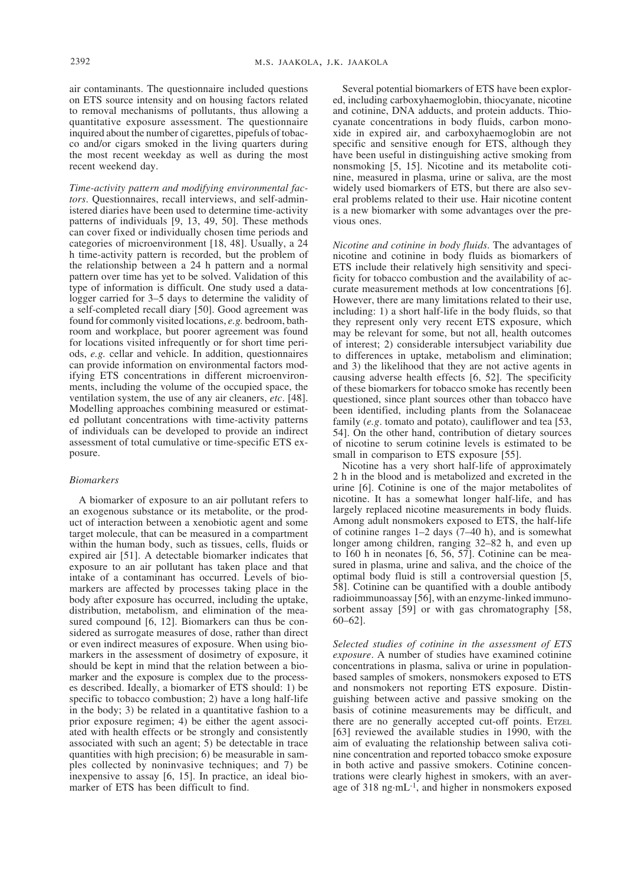air contaminants. The questionnaire included questions on ETS source intensity and on housing factors related to removal mechanisms of pollutants, thus allowing a quantitative exposure assessment. The questionnaire inquired about the number of cigarettes, pipefuls of tobacco and/or cigars smoked in the living quarters during the most recent weekday as well as during the most recent weekend day.

*Time-activity pattern and modifying environmental factors*. Questionnaires, recall interviews, and self-administered diaries have been used to determine time-activity patterns of individuals [9, 13, 49, 50]. These methods can cover fixed or individually chosen time periods and categories of microenvironment [18, 48]. Usually, a 24 h time-activity pattern is recorded, but the problem of the relationship between a 24 h pattern and a normal pattern over time has yet to be solved. Validation of this type of information is difficult. One study used a datalogger carried for 3–5 days to determine the validity of a self-completed recall diary [50]. Good agreement was found for commonly visited locations, *e.g.* bedroom, bathroom and workplace, but poorer agreement was found for locations visited infrequently or for short time periods, *e.g.* cellar and vehicle. In addition, questionnaires can provide information on environmental factors modifying ETS concentrations in different microenvironments, including the volume of the occupied space, the ventilation system, the use of any air cleaners, *etc*. [48]. Modelling approaches combining measured or estimated pollutant concentrations with time-activity patterns of individuals can be developed to provide an indirect assessment of total cumulative or time-specific ETS exposure.

#### *Biomarkers*

A biomarker of exposure to an air pollutant refers to an exogenous substance or its metabolite, or the product of interaction between a xenobiotic agent and some target molecule, that can be measured in a compartment within the human body, such as tissues, cells, fluids or expired air [51]. A detectable biomarker indicates that exposure to an air pollutant has taken place and that intake of a contaminant has occurred. Levels of biomarkers are affected by processes taking place in the body after exposure has occurred, including the uptake, distribution, metabolism, and elimination of the measured compound [6, 12]. Biomarkers can thus be considered as surrogate measures of dose, rather than direct or even indirect measures of exposure. When using biomarkers in the assessment of dosimetry of exposure, it should be kept in mind that the relation between a biomarker and the exposure is complex due to the processes described. Ideally, a biomarker of ETS should: 1) be specific to tobacco combustion; 2) have a long half-life in the body; 3) be related in a quantitative fashion to a prior exposure regimen; 4) be either the agent associated with health effects or be strongly and consistently associated with such an agent; 5) be detectable in trace quantities with high precision; 6) be measurable in samples collected by noninvasive techniques; and 7) be inexpensive to assay [6, 15]. In practice, an ideal biomarker of ETS has been difficult to find.

Several potential biomarkers of ETS have been explored, including carboxyhaemoglobin, thiocyanate, nicotine and cotinine, DNA adducts, and protein adducts. Thiocyanate concentrations in body fluids, carbon monoxide in expired air, and carboxyhaemoglobin are not specific and sensitive enough for ETS, although they have been useful in distinguishing active smoking from nonsmoking [5, 15]. Nicotine and its metabolite cotinine, measured in plasma, urine or saliva, are the most widely used biomarkers of ETS, but there are also several problems related to their use. Hair nicotine content is a new biomarker with some advantages over the previous ones.

*Nicotine and cotinine in body fluids*. The advantages of nicotine and cotinine in body fluids as biomarkers of ETS include their relatively high sensitivity and specificity for tobacco combustion and the availability of accurate measurement methods at low concentrations [6]. However, there are many limitations related to their use, including: 1) a short half-life in the body fluids, so that they represent only very recent ETS exposure, which may be relevant for some, but not all, health outcomes of interest; 2) considerable intersubject variability due to differences in uptake, metabolism and elimination; and 3) the likelihood that they are not active agents in causing adverse health effects [6, 52]. The specificity of these biomarkers for tobacco smoke has recently been questioned, since plant sources other than tobacco have been identified, including plants from the Solanaceae family (*e.g.* tomato and potato), cauliflower and tea [53, 54]. On the other hand, contribution of dietary sources of nicotine to serum cotinine levels is estimated to be small in comparison to ETS exposure [55].

Nicotine has a very short half-life of approximately 2 h in the blood and is metabolized and excreted in the urine [6]. Cotinine is one of the major metabolites of nicotine. It has a somewhat longer half-life, and has largely replaced nicotine measurements in body fluids. Among adult nonsmokers exposed to ETS, the half-life of cotinine ranges 1–2 days (7–40 h), and is somewhat longer among children, ranging 32–82 h, and even up to 160 h in neonates [6, 56, 57]. Cotinine can be measured in plasma, urine and saliva, and the choice of the optimal body fluid is still a controversial question [5, 58]. Cotinine can be quantified with a double antibody radioimmunoassay [56], with an enzyme-linked immunosorbent assay [59] or with gas chromatography [58, 60–62].

*Selected studies of cotinine in the assessment of ETS exposure*. A number of studies have examined cotinine concentrations in plasma, saliva or urine in populationbased samples of smokers, nonsmokers exposed to ETS and nonsmokers not reporting ETS exposure. Distinguishing between active and passive smoking on the basis of cotinine measurements may be difficult, and there are no generally accepted cut-off points. ETZEL [63] reviewed the available studies in 1990, with the aim of evaluating the relationship between saliva cotinine concentration and reported tobacco smoke exposure in both active and passive smokers. Cotinine concentrations were clearly highest in smokers, with an average of 318 ng·mL-1, and higher in nonsmokers exposed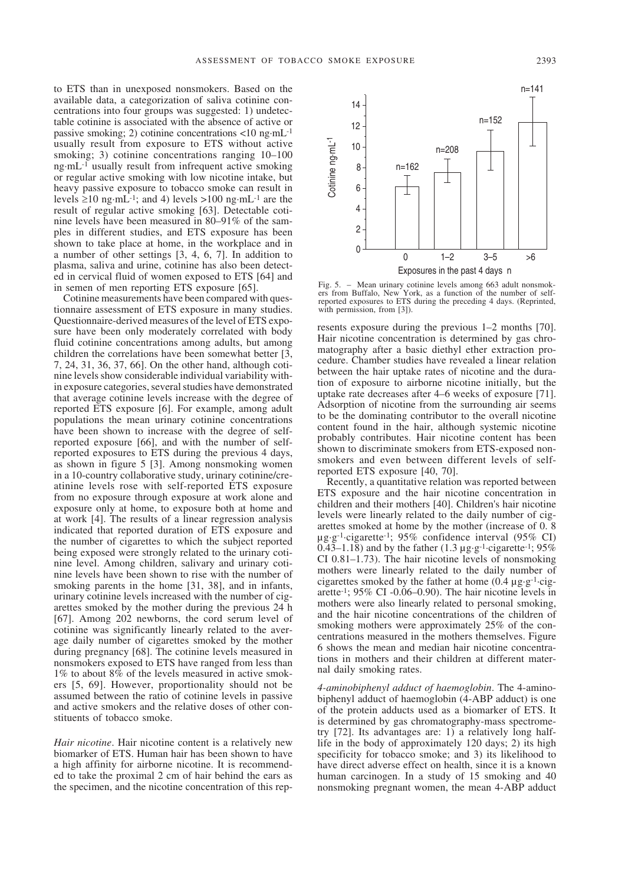to ETS than in unexposed nonsmokers. Based on the available data, a categorization of saliva cotinine concentrations into four groups was suggested: 1) undetectable cotinine is associated with the absence of active or passive smoking; 2) cotinine concentrations <10 ng·mL-1 usually result from exposure to ETS without active smoking; 3) cotinine concentrations ranging  $10-100$ ng·mL-1 usually result from infrequent active smoking or regular active smoking with low nicotine intake, but heavy passive exposure to tobacco smoke can result in levels  $\geq 10$  ng·mL<sup>-1</sup>; and 4) levels  $>100$  ng·mL<sup>-1</sup> are the result of regular active smoking [63]. Detectable cotinine levels have been measured in 80–91% of the samples in different studies, and ETS exposure has been shown to take place at home, in the workplace and in a number of other settings [3, 4, 6, 7]. In addition to plasma, saliva and urine, cotinine has also been detected in cervical fluid of women exposed to ETS [64] and in semen of men reporting ETS exposure [65].

Cotinine measurements have been compared with questionnaire assessment of ETS exposure in many studies. Questionnaire-derived measures of the level of ETS exposure have been only moderately correlated with body fluid cotinine concentrations among adults, but among children the correlations have been somewhat better [3, 7, 24, 31, 36, 37, 66]. On the other hand, although cotinine levels show considerable individual variability within exposure categories, several studies have demonstrated that average cotinine levels increase with the degree of reported ETS exposure [6]. For example, among adult populations the mean urinary cotinine concentrations have been shown to increase with the degree of selfreported exposure [66], and with the number of selfreported exposures to ETS during the previous 4 days, as shown in figure 5 [3]. Among nonsmoking women in a 10-country collaborative study, urinary cotinine/creatinine levels rose with self-reported ETS exposure from no exposure through exposure at work alone and exposure only at home, to exposure both at home and at work [4]. The results of a linear regression analysis indicated that reported duration of ETS exposure and the number of cigarettes to which the subject reported being exposed were strongly related to the urinary cotinine level. Among children, salivary and urinary cotinine levels have been shown to rise with the number of smoking parents in the home [31, 38], and in infants, urinary cotinine levels increased with the number of cigarettes smoked by the mother during the previous 24 h [67]. Among 202 newborns, the cord serum level of cotinine was significantly linearly related to the average daily number of cigarettes smoked by the mother during pregnancy [68]. The cotinine levels measured in nonsmokers exposed to ETS have ranged from less than 1% to about 8% of the levels measured in active smokers [5, 69]. However, proportionality should not be assumed between the ratio of cotinine levels in passive and active smokers and the relative doses of other constituents of tobacco smoke.

*Hair nicotine*. Hair nicotine content is a relatively new biomarker of ETS. Human hair has been shown to have a high affinity for airborne nicotine. It is recommended to take the proximal 2 cm of hair behind the ears as the specimen, and the nicotine concentration of this rep-



Fig. 5. – Mean urinary cotinine levels among 663 adult nonsmokers from Buffalo, New York, as a function of the number of selfreported exposures to ETS during the preceding 4 days. (Reprinted, with permission, from [3]).

resents exposure during the previous 1–2 months [70]. Hair nicotine concentration is determined by gas chromatography after a basic diethyl ether extraction procedure. Chamber studies have revealed a linear relation between the hair uptake rates of nicotine and the duration of exposure to airborne nicotine initially, but the uptake rate decreases after 4–6 weeks of exposure [71]. Adsorption of nicotine from the surrounding air seems to be the dominating contributor to the overall nicotine content found in the hair, although systemic nicotine probably contributes. Hair nicotine content has been shown to discriminate smokers from ETS-exposed nonsmokers and even between different levels of selfreported ETS exposure [40, 70].

Recently, a quantitative relation was reported between ETS exposure and the hair nicotine concentration in children and their mothers [40]. Children's hair nicotine levels were linearly related to the daily number of cigarettes smoked at home by the mother (increase of 0. 8 µg·g-1·cigarette-1; 95% confidence interval (95% CI)  $(0.43-1.18)$  and by the father  $(1.3 \mu g \cdot g^{-1} \cdot$ cigarette<sup>-1</sup>; 95% CI 0.81–1.73). The hair nicotine levels of nonsmoking mothers were linearly related to the daily number of cigarettes smoked by the father at home  $(0.4 \mu g \cdot g^{-1} \cdot c)$ arette-1; 95% CI -0.06–0.90). The hair nicotine levels in mothers were also linearly related to personal smoking, and the hair nicotine concentrations of the children of smoking mothers were approximately 25% of the concentrations measured in the mothers themselves. Figure 6 shows the mean and median hair nicotine concentrations in mothers and their children at different maternal daily smoking rates.

*4-aminobiphenyl adduct of haemoglobin*. The 4-aminobiphenyl adduct of haemoglobin (4-ABP adduct) is one of the protein adducts used as a biomarker of ETS. It is determined by gas chromatography-mass spectrometry [72]. Its advantages are: 1) a relatively long halflife in the body of approximately 120 days; 2) its high specificity for tobacco smoke; and 3) its likelihood to have direct adverse effect on health, since it is a known human carcinogen. In a study of 15 smoking and 40 nonsmoking pregnant women, the mean 4-ABP adduct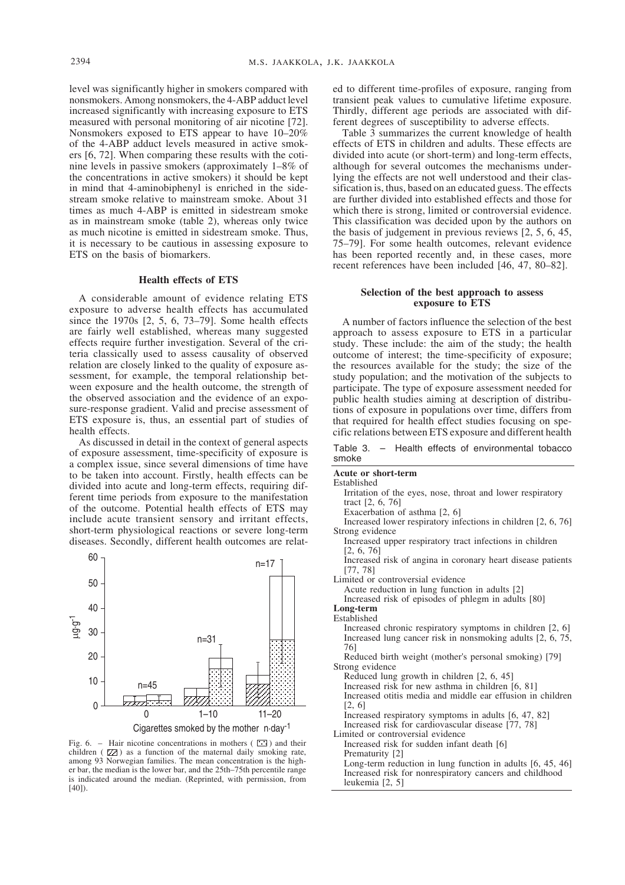level was significantly higher in smokers compared with nonsmokers. Among nonsmokers, the 4-ABP adduct level increased significantly with increasing exposure to ETS measured with personal monitoring of air nicotine [72]. Nonsmokers exposed to ETS appear to have 10–20% of the 4-ABP adduct levels measured in active smokers [6, 72]. When comparing these results with the cotinine levels in passive smokers (approximately 1–8% of the concentrations in active smokers) it should be kept in mind that 4-aminobiphenyl is enriched in the sidestream smoke relative to mainstream smoke. About 31 times as much 4-ABP is emitted in sidestream smoke as in mainstream smoke (table 2), whereas only twice as much nicotine is emitted in sidestream smoke. Thus, it is necessary to be cautious in assessing exposure to ETS on the basis of biomarkers.

## **Health effects of ETS**

A considerable amount of evidence relating ETS exposure to adverse health effects has accumulated since the 1970s [2, 5, 6, 73–79]. Some health effects are fairly well established, whereas many suggested effects require further investigation. Several of the criteria classically used to assess causality of observed relation are closely linked to the quality of exposure assessment, for example, the temporal relationship between exposure and the health outcome, the strength of the observed association and the evidence of an exposure-response gradient. Valid and precise assessment of ETS exposure is, thus, an essential part of studies of health effects.

As discussed in detail in the context of general aspects of exposure assessment, time-specificity of exposure is a complex issue, since several dimensions of time have to be taken into account. Firstly, health effects can be divided into acute and long-term effects, requiring different time periods from exposure to the manifestation of the outcome. Potential health effects of ETS may include acute transient sensory and irritant effects, short-term physiological reactions or severe long-term diseases. Secondly, different health outcomes are relat-



Fig. 6. – Hair nicotine concentrations in mothers  $(\Box)$  and their children ( $\Box$ ) as a function of the maternal daily smoking rate, among 93 Norwegian families. The mean concentration is the higher bar, the median is the lower bar, and the 25th–75th percentile range is indicated around the median. (Reprinted, with permission, from  $[40]$ ).

ed to different time-profiles of exposure, ranging from transient peak values to cumulative lifetime exposure. Thirdly, different age periods are associated with different degrees of susceptibility to adverse effects.

Table 3 summarizes the current knowledge of health effects of ETS in children and adults. These effects are divided into acute (or short-term) and long-term effects, although for several outcomes the mechanisms underlying the effects are not well understood and their classification is, thus, based on an educated guess. The effects are further divided into established effects and those for which there is strong, limited or controversial evidence. This classification was decided upon by the authors on the basis of judgement in previous reviews [2, 5, 6, 45, 75–79]. For some health outcomes, relevant evidence has been reported recently and, in these cases, more recent references have been included [46, 47, 80–82].

# **Selection of the best approach to assess exposure to ETS**

A number of factors influence the selection of the best approach to assess exposure to ETS in a particular study. These include: the aim of the study; the health outcome of interest; the time-specificity of exposure; the resources available for the study; the size of the study population; and the motivation of the subjects to participate. The type of exposure assessment needed for public health studies aiming at description of distributions of exposure in populations over time, differs from that required for health effect studies focusing on specific relations between ETS exposure and different health

Table 3. – Health effects of environmental tobacco smoke

#### **Acute or short-term**

Established

Irritation of the eyes, nose, throat and lower respiratory tract [2, 6, 76]

Exacerbation of asthma [2, 6]

Increased lower respiratory infections in children [2, 6, 76] Strong evidence

Increased upper respiratory tract infections in children [2, 6, 76]

Increased risk of angina in coronary heart disease patients [77, 78]

Limited or controversial evidence

Acute reduction in lung function in adults [2]

Increased risk of episodes of phlegm in adults [80]

**Long-term** Established

Increased chronic respiratory symptoms in children [2, 6] Increased lung cancer risk in nonsmoking adults [2, 6, 75, 76]

Reduced birth weight (mother's personal smoking) [79] Strong evidence

Reduced lung growth in children [2, 6, 45]

Increased risk for new asthma in children [6, 81]

Increased otitis media and middle ear effusion in children [2, 6]

Increased respiratory symptoms in adults [6, 47, 82] Increased risk for cardiovascular disease [77, 78]

Limited or controversial evidence

Increased risk for sudden infant death [6] Prematurity [2]

Long-term reduction in lung function in adults [6, 45, 46] Increased risk for nonrespiratory cancers and childhood leukemia [2, 5]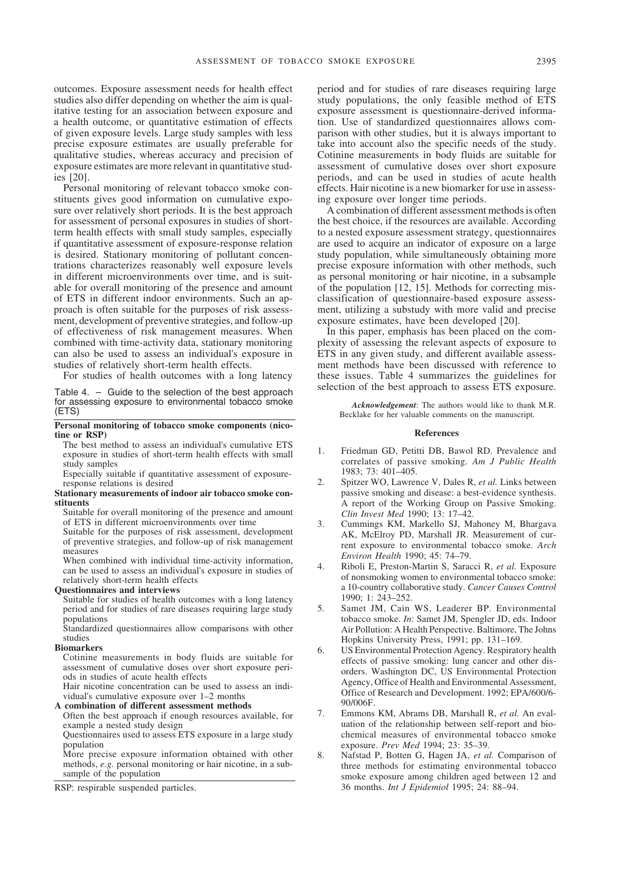outcomes. Exposure assessment needs for health effect studies also differ depending on whether the aim is qualitative testing for an association between exposure and a health outcome, or quantitative estimation of effects of given exposure levels. Large study samples with less precise exposure estimates are usually preferable for qualitative studies, whereas accuracy and precision of exposure estimates are more relevant in quantitative studies [20].

Personal monitoring of relevant tobacco smoke constituents gives good information on cumulative exposure over relatively short periods. It is the best approach for assessment of personal exposures in studies of shortterm health effects with small study samples, especially if quantitative assessment of exposure-response relation is desired. Stationary monitoring of pollutant concentrations characterizes reasonably well exposure levels in different microenvironments over time, and is suitable for overall monitoring of the presence and amount of ETS in different indoor environments. Such an approach is often suitable for the purposes of risk assessment, development of preventive strategies, and follow-up of effectiveness of risk management measures. When combined with time-activity data, stationary monitoring can also be used to assess an individual's exposure in studies of relatively short-term health effects.

For studies of health outcomes with a long latency

Table 4. – Guide to the selection of the best approach for assessing exposure to environmental tobacco smoke (ETS)

#### **Personal monitoring of tobacco smoke components (nicotine or RSP)**

The best method to assess an individual's cumulative ETS exposure in studies of short-term health effects with small study samples

Especially suitable if quantitative assessment of exposureresponse relations is desired

#### **Stationary measurements of indoor air tobacco smoke constituents**

Suitable for overall monitoring of the presence and amount of ETS in different microenvironments over time

Suitable for the purposes of risk assessment, development of preventive strategies, and follow-up of risk management measures

When combined with individual time-activity information, can be used to assess an individual's exposure in studies of relatively short-term health effects

# **Questionnaires and interviews**

Suitable for studies of health outcomes with a long latency period and for studies of rare diseases requiring large study populations

Standardized questionnaires allow comparisons with other studies

#### **Biomarkers**

Cotinine measurements in body fluids are suitable for assessment of cumulative doses over short exposure periods in studies of acute health effects

Hair nicotine concentration can be used to assess an individual's cumulative exposure over 1–2 months

#### **A combination of different assessment methods**

Often the best approach if enough resources available, for example a nested study design

Questionnaires used to assess ETS exposure in a large study population

More precise exposure information obtained with other methods, *e.g.* personal monitoring or hair nicotine, in a subsample of the population

RSP: respirable suspended particles.

period and for studies of rare diseases requiring large study populations, the only feasible method of ETS exposure assessment is questionnaire-derived information. Use of standardized questionnaires allows comparison with other studies, but it is always important to take into account also the specific needs of the study. Cotinine measurements in body fluids are suitable for assessment of cumulative doses over short exposure periods, and can be used in studies of acute health effects. Hair nicotine is a new biomarker for use in assessing exposure over longer time periods.

A combination of different assessment methods is often the best choice, if the resources are available. According to a nested exposure assessment strategy, questionnaires are used to acquire an indicator of exposure on a large study population, while simultaneously obtaining more precise exposure information with other methods, such as personal monitoring or hair nicotine, in a subsample of the population [12, 15]. Methods for correcting misclassification of questionnaire-based exposure assessment, utilizing a substudy with more valid and precise exposure estimates, have been developed [20].

In this paper, emphasis has been placed on the complexity of assessing the relevant aspects of exposure to ETS in any given study, and different available assessment methods have been discussed with reference to these issues. Table 4 summarizes the guidelines for selection of the best approach to assess ETS exposure.

*Acknowledgement*: The authors would like to thank M.R. Becklake for her valuable comments on the manuscript.

#### **References**

- 1. Friedman GD, Petitti DB, Bawol RD. Prevalence and correlates of passive smoking. *Am J Public Health* 1983; 73: 401–405.
- 2. Spitzer WO, Lawrence V, Dales R, *et al.* Links between passive smoking and disease: a best-evidence synthesis. A report of the Working Group on Passive Smoking. *Clin Invest Med* 1990; 13: 17–42.
- 3. Cummings KM, Markello SJ, Mahoney M, Bhargava AK, McElroy PD, Marshall JR. Measurement of current exposure to environmental tobacco smoke. *Arch Environ Health* 1990; 45: 74–79.
- 4. Riboli E, Preston-Martin S, Saracci R, *et al.* Exposure of nonsmoking women to environmental tobacco smoke: a 10-country collaborative study. *Cancer Causes Control* 1990; 1: 243–252.
- 5. Samet JM, Cain WS, Leaderer BP. Environmental tobacco smoke. *In*: Samet JM, Spengler JD, eds. Indoor Air Pollution: A Health Perspective. Baltimore, The Johns Hopkins University Press, 1991; pp. 131–169.
- 6. US Environmental Protection Agency. Respiratory health effects of passive smoking: lung cancer and other disorders. Washington DC, US Environmental Protection Agency, Office of Health and Environmental Assessment, Office of Research and Development. 1992; EPA/600/6- 90/006F.
- 7. Emmons KM, Abrams DB, Marshall R, *et al.* An evaluation of the relationship between self-report and biochemical measures of environmental tobacco smoke exposure. *Prev Med* 1994; 23: 35–39.
- 8. Nafstad P, Botten G, Hagen JA, *et al.* Comparison of three methods for estimating environmental tobacco smoke exposure among children aged between 12 and 36 months. *Int J Epidemiol* 1995; 24: 88–94.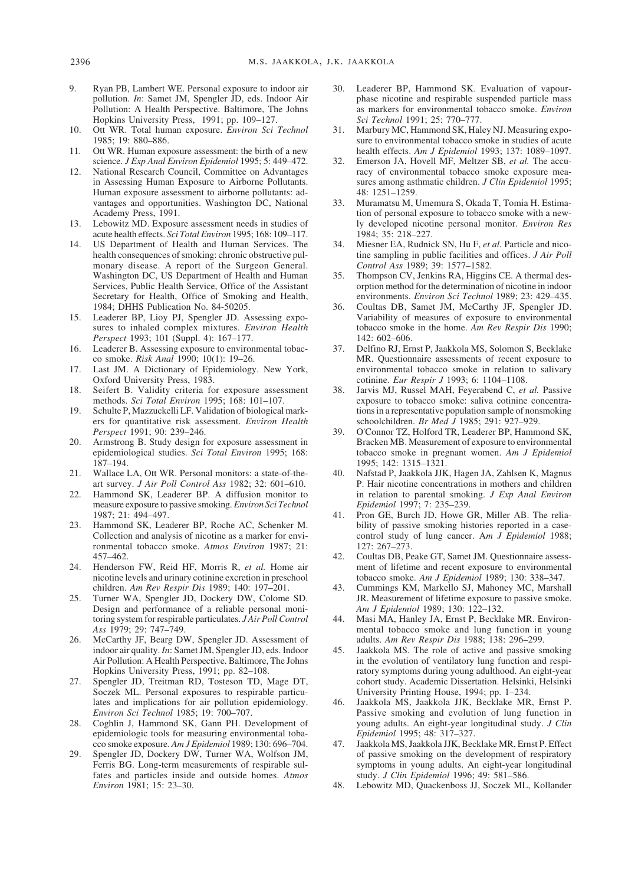- 9. Ryan PB, Lambert WE. Personal exposure to indoor air pollution. *In*: Samet JM, Spengler JD, eds. Indoor Air Pollution: A Health Perspective. Baltimore, The Johns Hopkins University Press, 1991; pp. 109–127.
- 10. Ott WR. Total human exposure. *Environ Sci Technol* 1985; 19: 880–886.
- 11. Ott WR. Human exposure assessment: the birth of a new science. *J Exp Anal Environ Epidemiol* 1995; 5: 449–472.
- 12. National Research Council, Committee on Advantages in Assessing Human Exposure to Airborne Pollutants. Human exposure assessment to airborne pollutants: advantages and opportunities. Washington DC, National Academy Press, 1991.
- 13. Lebowitz MD. Exposure assessment needs in studies of acute health effects. *Sci Total Environ* 1995; 168: 109–117.
- 14. US Department of Health and Human Services. The health consequences of smoking: chronic obstructive pulmonary disease. A report of the Surgeon General. Washington DC, US Department of Health and Human Services, Public Health Service, Office of the Assistant Secretary for Health, Office of Smoking and Health, 1984; DHHS Publication No. 84-50205.
- 15. Leaderer BP, Lioy PJ, Spengler JD. Assessing exposures to inhaled complex mixtures. *Environ Health Perspect* 1993; 101 (Suppl. 4): 167–177.
- 16. Leaderer B. Assessing exposure to environmental tobacco smoke. *Risk Anal* 1990; 10(1): 19–26.
- 17. Last JM. A Dictionary of Epidemiology. New York, Oxford University Press, 1983.
- 18. Seifert B. Validity criteria for exposure assessment methods. *Sci Total Environ* 1995; 168: 101–107.
- 19. Schulte P, Mazzuckelli LF. Validation of biological markers for quantitative risk assessment. *Environ Health Perspect* 1991; 90: 239–246.
- 20. Armstrong B. Study design for exposure assessment in epidemiological studies. *Sci Total Environ* 1995; 168: 187–194.
- 21. Wallace LA, Ott WR. Personal monitors: a state-of-theart survey. *J Air Poll Control Ass* 1982; 32: 601–610.
- 22. Hammond SK, Leaderer BP. A diffusion monitor to measure exposure to passive smoking. *Environ Sci Technol* 1987; 21: 494–497.
- 23. Hammond SK, Leaderer BP, Roche AC, Schenker M. Collection and analysis of nicotine as a marker for environmental tobacco smoke. *Atmos Environ* 1987; 21: 457–462.
- 24. Henderson FW, Reid HF, Morris R, *et al.* Home air nicotine levels and urinary cotinine excretion in preschool children. *Am Rev Respir Dis* 1989; 140: 197–201.
- 25. Turner WA, Spengler JD, Dockery DW, Colome SD. Design and performance of a reliable personal monitoring system for respirable particulates. *J Air Poll Control Ass* 1979; 29: 747–749.
- 26. McCarthy JF, Bearg DW, Spengler JD. Assessment of indoor air quality. *In*: Samet JM, Spengler JD, eds. Indoor Air Pollution: A Health Perspective. Baltimore, The Johns Hopkins University Press, 1991; pp. 82–108.
- 27. Spengler JD, Treitman RD, Tosteson TD, Mage DT, Soczek ML. Personal exposures to respirable particulates and implications for air pollution epidemiology. *Environ Sci Technol* 1985; 19: 700–707.
- 28. Coghlin J, Hammond SK, Gann PH. Development of epidemiologic tools for measuring environmental tobacco smoke exposure. *Am J Epidemiol* 1989; 130: 696–704.
- 29. Spengler JD, Dockery DW, Turner WA, Wolfson JM, Ferris BG. Long-term measurements of respirable sulfates and particles inside and outside homes. *Atmos Environ* 1981; 15: 23–30.
- 30. Leaderer BP, Hammond SK. Evaluation of vapourphase nicotine and respirable suspended particle mass as markers for environmental tobacco smoke. *Environ Sci Technol* 1991; 25: 770–777.
- 31. Marbury MC, Hammond SK, Haley NJ. Measuring exposure to environmental tobacco smoke in studies of acute health effects. *Am J Epidemiol* 1993; 137: 1089–1097.
- 32. Emerson JA, Hovell MF, Meltzer SB, *et al.* The accuracy of environmental tobacco smoke exposure measures among asthmatic children. *J Clin Epidemiol* 1995;  $48: 1251 - 1259$
- 33. Muramatsu M, Umemura S, Okada T, Tomia H. Estimation of personal exposure to tobacco smoke with a newly developed nicotine personal monitor. *Environ Res* 1984; 35: 218–227.
- Miesner EA, Rudnick SN, Hu F, et al. Particle and nicotine sampling in public facilities and offices. *J Air Poll Control Ass* 1989; 39: 1577–1582.
- 35. Thompson CV, Jenkins RA, Higgins CE. A thermal desorption method for the determination of nicotine in indoor environments. *Environ Sci Technol* 1989; 23: 429–435.
- 36. Coultas DB, Samet JM, McCarthy JF, Spengler JD. Variability of measures of exposure to environmental tobacco smoke in the home. *Am Rev Respir Dis* 1990; 142: 602–606.
- 37. Delfino RJ, Ernst P, Jaakkola MS, Solomon S, Becklake MR. Questionnaire assessments of recent exposure to environmental tobacco smoke in relation to salivary cotinine. *Eur Respir J* 1993; 6: 1104–1108.
- 38. Jarvis MJ, Russel MAH, Feyerabend C, *et al.* Passive exposure to tobacco smoke: saliva cotinine concentrations in a representative population sample of nonsmoking schoolchildren. *Br Med J* 1985; 291: 927–929.
- 39. O'Connor TZ, Holford TR, Leaderer BP, Hammond SK, Bracken MB. Measurement of exposure to environmental tobacco smoke in pregnant women. *Am J Epidemiol* 1995; 142: 1315–1321.
- 40. Nafstad P, Jaakkola JJK, Hagen JA, Zahlsen K, Magnus P. Hair nicotine concentrations in mothers and children in relation to parental smoking. *J Exp Anal Environ Epidemiol* 1997; 7: 235–239.
- 41. Pron GE, Burch JD, Howe GR, Miller AB. The reliability of passive smoking histories reported in a casecontrol study of lung cancer. A*m J Epidemiol* 1988; 127: 267–273.
- 42. Coultas DB, Peake GT, Samet JM. Questionnaire assessment of lifetime and recent exposure to environmental tobacco smoke. *Am J Epidemiol* 1989; 130: 338–347.
- 43. Cummings KM, Markello SJ, Mahoney MC, Marshall JR. Measurement of lifetime exposure to passive smoke. *Am J Epidemiol* 1989; 130: 122–132.
- 44. Masi MA, Hanley JA, Ernst P, Becklake MR. Environmental tobacco smoke and lung function in young adults. *Am Rev Respir Dis* 1988; 138: 296–299.
- 45. Jaakkola MS. The role of active and passive smoking in the evolution of ventilatory lung function and respiratory symptoms during young adulthood. An eight-year cohort study. Academic Dissertation. Helsinki, Helsinki University Printing House, 1994; pp. 1–234.
- 46. Jaakkola MS, Jaakkola JJK, Becklake MR, Ernst P. Passive smoking and evolution of lung function in young adults. An eight-year longitudinal study. *J Clin Epidemiol* 1995; 48: 317–327.
- 47. Jaakkola MS, Jaakkola JJK, Becklake MR, Ernst P. Effect of passive smoking on the development of respiratory symptoms in young adults. An eight-year longitudinal study. *J Clin Epidemiol* 1996; 49: 581–586.
- 48. Lebowitz MD, Quackenboss JJ, Soczek ML, Kollander